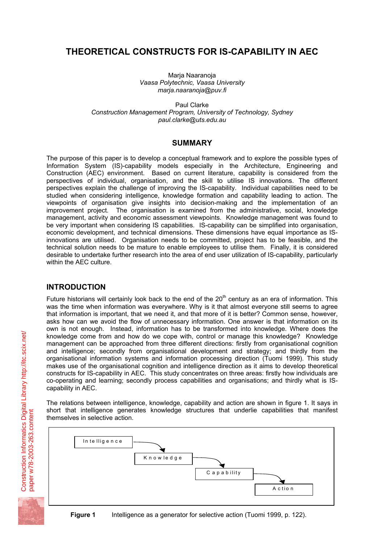# **THEORETICAL CONSTRUCTS FOR IS-CAPABILITY IN AEC**

Marja Naaranoja *Vaasa Polytechnic, Vaasa University marja.naaranoja@puv.fi* 

Paul Clarke *Construction Management Program, University of Technology, Sydney paul.clarke@uts.edu.au* 

#### **SUMMARY**

The purpose of this paper is to develop a conceptual framework and to explore the possible types of Information System (IS)-capability models especially in the Architecture, Engineering and Construction (AEC) environment. Based on current literature, capability is considered from the perspectives of individual, organisation, and the skill to utilise IS innovations. The different perspectives explain the challenge of improving the IS-capability. Individual capabilities need to be studied when considering intelligence, knowledge formation and capability leading to action. The viewpoints of organisation give insights into decision-making and the implementation of an improvement project. The organisation is examined from the administrative, social, knowledge management, activity and economic assessment viewpoints. Knowledge management was found to be very important when considering IS capabilities. IS-capability can be simplified into organisation, economic development, and technical dimensions. These dimensions have equal importance as ISinnovations are utilised. Organisation needs to be committed, project has to be feasible, and the technical solution needs to be mature to enable employees to utilise them. Finally, it is considered desirable to undertake further research into the area of end user utilization of IS-capability, particularly within the AEC culture.

## **INTRODUCTION**

Future historians will certainly look back to the end of the  $20<sup>th</sup>$  century as an era of information. This was the time when information was everywhere. Why is it that almost everyone still seems to agree that information is important, that we need it, and that more of it is better? Common sense, however, asks how can we avoid the flow of unnecessary information. One answer is that information on its own is not enough. Instead, information has to be transformed into knowledge. Where does the knowledge come from and how do we cope with, control or manage this knowledge? Knowledge management can be approached from three different directions: firstly from organisational cognition and intelligence; secondly from organisational development and strategy; and thirdly from the organisational information systems and information processing direction (Tuomi 1999). This study makes use of the organisational cognition and intelligence direction as it aims to develop theoretical constructs for IS-capability in AEC. This study concentrates on three areas: firstly how individuals are co-operating and learning; secondly process capabilities and organisations; and thirdly what is IScapability in AEC.

The relations between intelligence, knowledge, capability and action are shown in figure 1. It says in short that intelligence generates knowledge structures that underlie capabilities that manifest themselves in selective action.

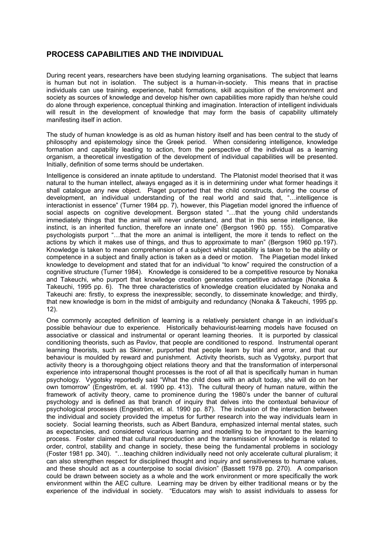## **PROCESS CAPABILITIES AND THE INDIVIDUAL**

During recent years, researchers have been studying learning organisations. The subject that learns is human but not in isolation. The subject is a human-in-society. This means that in practise individuals can use training, experience, habit formations, skill acquisition of the environment and society as sources of knowledge and develop his/her own capabilities more rapidly than he/she could do alone through experience, conceptual thinking and imagination. Interaction of intelligent individuals will result in the development of knowledge that may form the basis of capability ultimately manifesting itself in action.

The study of human knowledge is as old as human history itself and has been central to the study of philosophy and epistemology since the Greek period. When considering intelligence, knowledge formation and capability leading to action, from the perspective of the individual as a learning organism, a theoretical investigation of the development of individual capabilities will be presented. Initially, definition of some terms should be undertaken.

Intelligence is considered an innate aptitude to understand. The Platonist model theorised that it was natural to the human intellect, always engaged as it is in determining under what former headings it shall catalogue any new object. Piaget purported that the child constructs, during the course of development, an individual understanding of the real world and said that, "…intelligence is interactionist in essence" (Turner 1984 pp. 7), however, this Piagetian model ignored the influence of social aspects on cognitive development. Bergson stated "…that the young child understands immediately things that the animal will never understand, and that in this sense intelligence, like instinct, is an inherited function, therefore an innate one" (Bergson 1960 pp. 155). Comparative psychologists purport "…that the more an animal is intelligent, the more it tends to reflect on the actions by which it makes use of things, and thus to approximate to man" (Bergson 1960 pp.197). Knowledge is taken to mean comprehension of a subject whilst capability is taken to be the ability or competence in a subject and finally action is taken as a deed or motion. The Piagetian model linked knowledge to development and stated that for an individual "to know" required the construction of a cognitive structure (Turner 1984). Knowledge is considered to be a competitive resource by Nonaka and Takeuchi, who purport that knowledge creation generates competitive advantage (Nonaka & Takeuchi, 1995 pp. 6). The three characteristics of knowledge creation elucidated by Nonaka and Takeuchi are: firstly, to express the inexpressible; secondly, to disseminate knowledge; and thirdly, that new knowledge is born in the midst of ambiguity and redundancy (Nonaka & Takeuchi, 1995 pp. 12).

One commonly accepted definition of learning is a relatively persistent change in an individual's possible behaviour due to experience. Historically behaviourist-learning models have focused on associative or classical and instrumental or operant learning theories. It is purported by classical conditioning theorists, such as Pavlov, that people are conditioned to respond. Instrumental operant learning theorists, such as Skinner, purported that people learn by trial and error, and that our behaviour is moulded by reward and punishment. Activity theorists, such as Vygotsky, purport that activity theory is a thoroughgoing object relations theory and that the transformation of interpersonal experience into intrapersonal thought processes is the root of all that is specifically human in human psychology. Vygotsky reportedly said "What the child does with an adult today, she will do on her own tomorrow" (Engeström, et. al. 1990 pp. 413). The cultural theory of human nature, within the framework of activity theory, came to prominence during the 1980's under the banner of cultural psychology and is defined as that branch of inquiry that delves into the contextual behaviour of psychological processes (Engeström, et. al. 1990 pp. 87). The inclusion of the interaction between the individual and society provided the impetus for further research into the way individuals learn in society. Social learning theorists, such as Albert Bandura, emphasized internal mental states, such as expectancies, and considered vicarious learning and modelling to be important to the learning process. Foster claimed that cultural reproduction and the transmission of knowledge is related to order, control, stability and change in society, these being the fundamental problems in sociology (Foster 1981 pp. 340). "…teaching children individually need not only accelerate cultural pluralism; it can also strengthen respect for disciplined thought and inquiry and sensitiveness to humane values, and these should act as a counterpoise to social division" (Bassett 1978 pp. 270). A comparison could be drawn between society as a whole and the work environment or more specifically the work environment within the AEC culture. Learning may be driven by either traditional means or by the experience of the individual in society. "Educators may wish to assist individuals to assess for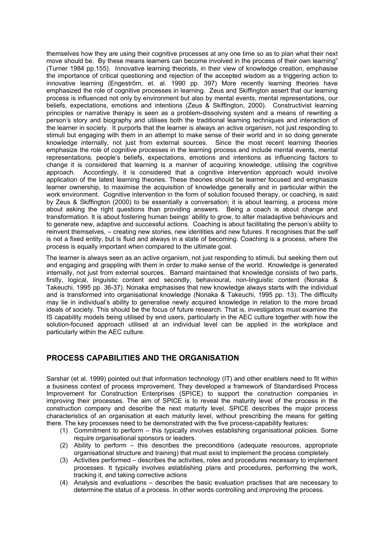themselves how they are using their cognitive processes at any one time so as to plan what their next move should be. By these means learners can become involved in the process of their own learning" (Turner 1984 pp.155). Innovative learning theorists, in their view of knowledge creation, emphasise the importance of critical questioning and rejection of the accepted wisdom as a triggering action to innovative learning (Engeström, et. al. 1990 pp. 397) More recently learning theories have emphasized the role of cognitive processes in learning. Zeus and Skiffington assert that our learning process is influenced not only by environment but also by mental events, mental representations, our beliefs, expectations, emotions and intentions (Zeus & Skiffington, 2000). Constructivist learning principles or narrative therapy is seen as a problem-dissolving system and a means of rewriting a person's story and biography and utilises both the traditional learning techniques and interaction of the learner in society. It purports that the learner is always an active organism, not just responding to stimuli but engaging with them in an attempt to make sense of their world and in so doing generate knowledge internally, not just from external sources. Since the most recent learning theories emphasize the role of cognitive processes in the learning process and include mental events, mental representations, people's beliefs, expectations, emotions and intentions as influencing factors to change it is considered that learning is a manner of acquiring knowledge, utilising the cognitive approach. Accordingly, it is considered that a cognitive intervention approach would involve application of the latest learning theories. These theories should be learner focused and emphasize learner ownership, to maximise the acquisition of knowledge generally and in particular within the work environment.Cognitive intervention in the form of solution focused therapy, or coaching, is said by Zeus & Skiffington (2000) to be essentially a conversation; it is about learning, a process more about asking the right questions than providing answers. Being a coach is about change and transformation. It is about fostering human beings' ability to grow, to alter maladaptive behaviours and to generate new, adaptive and successful actions. Coaching is about facilitating the person's ability to reinvent themselves, – creating new stories, new identities and new futures. It recognises that the self is not a fixed entity, but is fluid and always in a state of becoming. Coaching is a process, where the process is equally important when compared to the ultimate goal.

The learner is always seen as an active organism, not just responding to stimuli, but seeking them out and engaging and grappling with them in order to make sense of the world. Knowledge is generated internally, not just from external sources. Barnard maintained that knowledge consists of two parts, firstly, logical, linguistic content and secondly, behavioural, non-linguistic content (Nonaka & Takeuchi, 1995 pp. 36-37). Nonaka emphasises that new knowledge always starts with the individual and is transformed into organisational knowledge (Nonaka & Takeuchi, 1995 pp. 13). The difficulty may lie in individual's ability to generalise newly acquired knowledge in relation to the more broad ideals of society. This should be the focus of future research. That is, investigators must examine the IS capability models being utilised by end users, particularly in the AEC culture together with how the solution-focused approach utilised at an individual level can be applied in the workplace and particularly within the AEC culture.

## **PROCESS CAPABILITIES AND THE ORGANISATION**

Sarshar (et al. 1999) pointed out that information technology (IT) and other enablers need to fit within a business context of process improvement. They developed a framework of Standardised Process Improvement for Construction Enterprises (SPICE) to support the construction companies in improving their processes. The aim of SPICE is to reveal the maturity level of the process in the construction company and describe the next maturity level. SPICE describes the major process characteristics of an organisation at each maturity level, without prescribing the means for getting there. The key processes need to be demonstrated with the five process-capability features:

- (1) Commitment to perform this typically involves establishing organisational policies. Some require organisational sponsors or leaders.
- (2) Ability to perform this describes the preconditions (adequate resources, appropriate organisational structure and training) that must exist to implement the process completely.
- (3) Activities performed describes the activities, roles and procedures necessary to implement processes. It typically involves establishing plans and procedures, performing the work, tracking it, and taking corrective actions
- (4) Analysis and evaluations describes the basic evaluation practises that are necessary to determine the status of a process. In other words controlling and improving the process.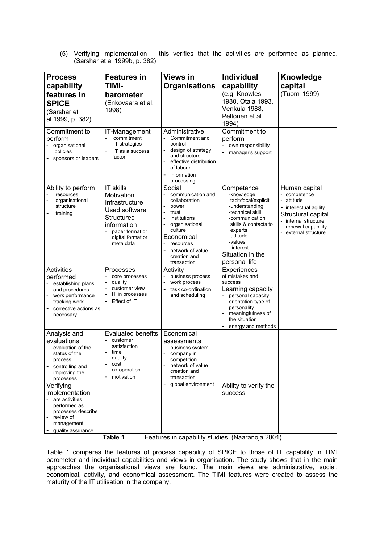(5) Verifying implementation – this verifies that the activities are performed as planned. (Sarshar et al 1999b, p. 382)

| <b>Process</b><br>capability<br>features in<br><b>SPICE</b><br>(Sarshar et<br>al.1999, p. 382)                                                    | <b>Features in</b><br><b>TIMI-</b><br>barometer<br>(Enkovaara et al.<br>1998)                                                                | <b>Views in</b><br><b>Organisations</b>                                                                                                                                                                     | <b>Individual</b><br>capability<br>(e.g. Knowles<br>1980, Otala 1993,<br>Venkula 1988,<br>Peltonen et al.<br>1994)                                                                                                    | Knowledge<br>capital<br>(Tuomi 1999)                                                                                                                          |
|---------------------------------------------------------------------------------------------------------------------------------------------------|----------------------------------------------------------------------------------------------------------------------------------------------|-------------------------------------------------------------------------------------------------------------------------------------------------------------------------------------------------------------|-----------------------------------------------------------------------------------------------------------------------------------------------------------------------------------------------------------------------|---------------------------------------------------------------------------------------------------------------------------------------------------------------|
| Commitment to<br>perform<br>organisational<br>policies<br>sponsors or leaders                                                                     | IT-Management<br>commitment<br><b>IT</b> strategies<br>IT as a success<br>factor                                                             | Administrative<br>Commitment and<br>control<br>design of strategy<br>and structure<br>effective distribution<br>of labour<br>information<br>processing                                                      | Commitment to<br>perform<br>own responsibility<br>manager's support                                                                                                                                                   |                                                                                                                                                               |
| Ability to perform<br>resources<br>organisational<br>structure<br>training                                                                        | IT skills<br>Motivation<br>Infrastructure<br>Used software<br>Structured<br>information<br>paper format or<br>digital format or<br>meta data | Social<br>communication and<br>collaboration<br>power<br>trust<br>institutions<br>$\overline{a}$<br>organisational<br>culture<br>Economical<br>resources<br>network of value<br>creation and<br>transaction | Competence<br>-knowledge<br>tacit/focal/explicit<br>-understanding<br>-technical skill<br>-communication<br>skills & contacts to<br>experts<br>-attitude<br>-values<br>-interest<br>Situation in the<br>personal life | Human capital<br>- competence<br>- attitude<br>intellectual agility<br>Structural capital<br>internal structure<br>renewal capability<br>- external structure |
| <b>Activities</b><br>performed<br>establishing plans<br>and procedures<br>work performance<br>tracking work<br>corrective actions as<br>necessary | Processes<br>core processes<br>quality<br>customer view<br>IT in processes<br>Effect of IT                                                   | Activity<br>business process<br>work process<br>task co-ordination<br>and scheduling                                                                                                                        | Experiences<br>of mistakes and<br>success<br>Learning capacity<br>personal capacity<br>orientation type of<br>personality<br>meaningfulness of<br>the situation<br>energy and methods                                 |                                                                                                                                                               |
| Analysis and<br>evaluations<br>evaluation of the<br>status of the<br>process<br>controlling and<br>improving the<br>processes                     | <b>Evaluated benefits</b><br>customer<br>satisfaction<br>time<br>quality<br>cost<br>co-operation<br>motivation                               | Economical<br>assessments<br>business system<br>company in<br>$\overline{\phantom{0}}$<br>competition<br>network of value<br>creation and<br>transaction                                                    |                                                                                                                                                                                                                       |                                                                                                                                                               |
| Verifying<br>implementation<br>are activities<br>performed as<br>processes describe<br>review of<br>management<br>quality assurance               |                                                                                                                                              | global environment                                                                                                                                                                                          | Ability to verify the<br>success                                                                                                                                                                                      |                                                                                                                                                               |

**Table 1** Features in capability studies. (Naaranoja 2001)

Table 1 compares the features of process capability of SPICE to those of IT capability in TIMI barometer and individual capabilities and views in organisation. The study shows that in the main approaches the organisational views are found. The main views are administrative, social, economical, activity, and economical assessment. The TIMI features were created to assess the maturity of the IT utilisation in the company.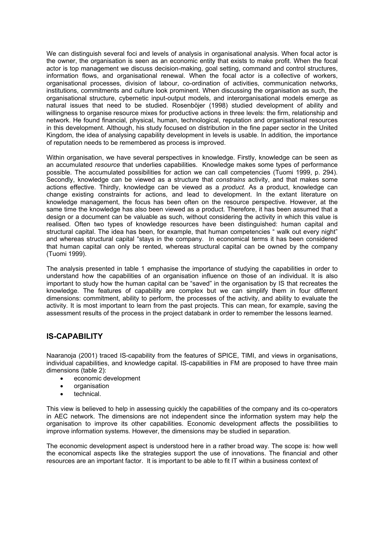We can distinguish several foci and levels of analysis in organisational analysis. When focal actor is the owner, the organisation is seen as an economic entity that exists to make profit. When the focal actor is top management we discuss decision-making, goal setting, command and control structures, information flows, and organisational renewal. When the focal actor is a collective of workers, organisational processes, division of labour, co-ordination of activities, communication networks, institutions, commitments and culture look prominent. When discussing the organisation as such, the organisational structure, cybernetic input-output models, and interorganisational models emerge as natural issues that need to be studied. Rosenböjer (1998) studied development of ability and willingness to organise resource mixes for productive actions in three levels: the firm, relationship and network. He found financial, physical, human, technological, reputation and organisational resources in this development. Although, his study focused on distribution in the fine paper sector in the United Kingdom, the idea of analysing capability development in levels is usable. In addition, the importance of reputation needs to be remembered as process is improved.

Within organisation, we have several perspectives in knowledge. Firstly, knowledge can be seen as an accumulated *resource* that underlies capabilities. Knowledge makes some types of performance possible. The accumulated possibilities for action we can call competencies (Tuomi 1999, p. 294). Secondly, knowledge can be viewed as a structure that *constrains* activity, and that makes some actions effective. Thirdly, knowledge can be viewed as a *product.* As a product, knowledge can change existing constraints for actions, and lead to development. In the extant literature on knowledge management, the focus has been often on the resource perspective. However, at the same time the knowledge has also been viewed as a product. Therefore, it has been assumed that a design or a document can be valuable as such, without considering the activity in which this value is realised. Often two types of knowledge resources have been distinguished: human capital and structural capital. The idea has been, for example, that human competencies " walk out every night" and whereas structural capital "stays in the company. In economical terms it has been considered that human capital can only be rented, whereas structural capital can be owned by the company (Tuomi 1999).

The analysis presented in table 1 emphasise the importance of studying the capabilities in order to understand how the capabilities of an organisation influence on those of an individual. It is also important to study how the human capital can be "saved" in the organisation by IS that recreates the knowledge. The features of capability are complex but we can simplify them in four different dimensions: commitment, ability to perform, the processes of the activity, and ability to evaluate the activity. It is most important to learn from the past projects. This can mean, for example, saving the assessment results of the process in the project databank in order to remember the lessons learned.

## **IS-CAPABILITY**

Naaranoja (2001) traced IS-capability from the features of SPICE, TIMI, and views in organisations, individual capabilities, and knowledge capital. IS-capabilities in FM are proposed to have three main dimensions (table 2):

- economic development
- organisation
- technical.

This view is believed to help in assessing quickly the capabilities of the company and its co-operators in AEC network. The dimensions are not independent since the information system may help the organisation to improve its other capabilities. Economic development affects the possibilities to improve information systems. However, the dimensions may be studied in separation.

The economic development aspect is understood here in a rather broad way. The scope is: how well the economical aspects like the strategies support the use of innovations. The financial and other resources are an important factor. It is important to be able to fit IT within a business context of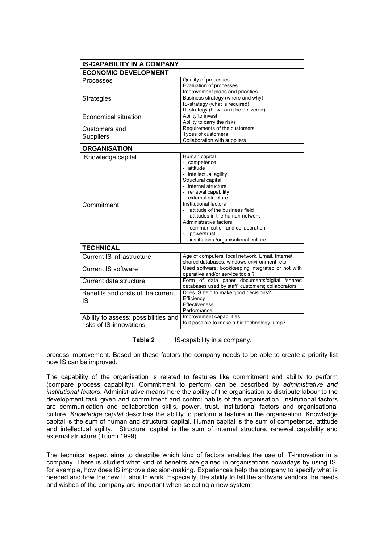| <b>IS-CAPABILITY IN A COMPANY</b>                               |                                                                                                                                                                                                                                                                                                                                                                                    |  |  |  |
|-----------------------------------------------------------------|------------------------------------------------------------------------------------------------------------------------------------------------------------------------------------------------------------------------------------------------------------------------------------------------------------------------------------------------------------------------------------|--|--|--|
| <b>ECONOMIC DEVELOPMENT</b>                                     |                                                                                                                                                                                                                                                                                                                                                                                    |  |  |  |
| Processes                                                       | Quality of processes<br>Evaluation of processes<br>Improvement plans and priorities                                                                                                                                                                                                                                                                                                |  |  |  |
| <b>Strategies</b>                                               | Business strategy (where and why)<br>IS-strategy (what is required)<br>IT-strategy (how can it be delivered)                                                                                                                                                                                                                                                                       |  |  |  |
| <b>Economical situation</b>                                     | Ability to invest<br>Ability to carry the risks                                                                                                                                                                                                                                                                                                                                    |  |  |  |
| Customers and                                                   | Requirements of the customers                                                                                                                                                                                                                                                                                                                                                      |  |  |  |
| Suppliers                                                       | Types of customers                                                                                                                                                                                                                                                                                                                                                                 |  |  |  |
|                                                                 | Collaboration with suppliers                                                                                                                                                                                                                                                                                                                                                       |  |  |  |
| <b>ORGANISATION</b>                                             |                                                                                                                                                                                                                                                                                                                                                                                    |  |  |  |
| Knowledge capital<br>Commitment                                 | Human capital<br>- competence<br>- attitude<br>- intellectual agility<br>Structural capital<br>- internal structure<br>- renewal capability<br>external structure<br>Institutional factors<br>attitude of the business field<br>attitudes in the human network<br>Administrative factors<br>communication and collaboration<br>power/trust<br>institutions /organisational culture |  |  |  |
| <b>TECHNICAL</b>                                                |                                                                                                                                                                                                                                                                                                                                                                                    |  |  |  |
| <b>Current IS infrastructure</b>                                | Age of computers, local network, Email, Internet,<br>shared databases, windows environment, etc.                                                                                                                                                                                                                                                                                   |  |  |  |
| <b>Current IS software</b>                                      | Used software: bookkeeping integrated or not with<br>operative and/or service tools?                                                                                                                                                                                                                                                                                               |  |  |  |
| Current data structure                                          | Form of data paper documents/digital /shared<br>databases used by staff; customers; collaborators                                                                                                                                                                                                                                                                                  |  |  |  |
| Benefits and costs of the current<br><b>IS</b>                  | Does IS help to make good decisions?<br>Efficiency<br>Effectiveness<br>Performance                                                                                                                                                                                                                                                                                                 |  |  |  |
| Ability to assess: possibilities and<br>risks of IS-innovations | Improvement capabilities<br>Is it possible to make a big technology jump?                                                                                                                                                                                                                                                                                                          |  |  |  |

**Table 2** IS-capability in a company.

process improvement. Based on these factors the company needs to be able to create a priority list how IS can be improved.

The capability of the organisation is related to features like commitment and ability to perform (compare process capability). Commitment to perform can be described by *administrative and institutional factors*. Administrative means here the ability of the organisation to distribute labour to the development task given and commitment and control habits of the organisation. Institutional factors are communication and collaboration skills, power, trust, institutional factors and organisational culture. *Knowledge capital* describes the ability to perform a feature in the organisation. Knowledge capital is the sum of human and structural capital. Human capital is the sum of competence, attitude and intellectual agility. Structural capital is the sum of internal structure, renewal capability and external structure (Tuomi 1999).

The technical aspect aims to describe which kind of factors enables the use of IT-innovation in a company. There is studied what kind of benefits are gained in organisations nowadays by using IS, for example, how does IS improve decision-making. Experiences help the company to specify what is needed and how the new IT should work. Especially, the ability to tell the software vendors the needs and wishes of the company are important when selecting a new system.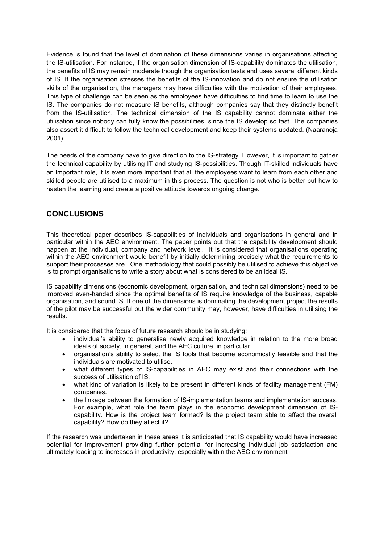Evidence is found that the level of domination of these dimensions varies in organisations affecting the IS-utilisation. For instance, if the organisation dimension of IS-capability dominates the utilisation, the benefits of IS may remain moderate though the organisation tests and uses several different kinds of IS. If the organisation stresses the benefits of the IS-innovation and do not ensure the utilisation skills of the organisation, the managers may have difficulties with the motivation of their employees. This type of challenge can be seen as the employees have difficulties to find time to learn to use the IS. The companies do not measure IS benefits, although companies say that they distinctly benefit from the IS-utilisation. The technical dimension of the IS capability cannot dominate either the utilisation since nobody can fully know the possibilities, since the IS develop so fast. The companies also assert it difficult to follow the technical development and keep their systems updated. (Naaranoja 2001)

The needs of the company have to give direction to the IS-strategy. However, it is important to gather the technical capability by utilising IT and studying IS-possibilities. Though IT-skilled individuals have an important role, it is even more important that all the employees want to learn from each other and skilled people are utilised to a maximum in this process. The question is not who is better but how to hasten the learning and create a positive attitude towards ongoing change.

## **CONCLUSIONS**

This theoretical paper describes IS-capabilities of individuals and organisations in general and in particular within the AEC environment. The paper points out that the capability development should happen at the individual, company and network level. It is considered that organisations operating within the AEC environment would benefit by initially determining precisely what the requirements to support their processes are. One methodology that could possibly be utilised to achieve this objective is to prompt organisations to write a story about what is considered to be an ideal IS.

IS capability dimensions (economic development, organisation, and technical dimensions) need to be improved even-handed since the optimal benefits of IS require knowledge of the business, capable organisation, and sound IS. If one of the dimensions is dominating the development project the results of the pilot may be successful but the wider community may, however, have difficulties in utilising the results.

It is considered that the focus of future research should be in studying:

- individual's ability to generalise newly acquired knowledge in relation to the more broad ideals of society, in general, and the AEC culture, in particular.
- organisation's ability to select the IS tools that become economically feasible and that the individuals are motivated to utilise.
- what different types of IS-capabilities in AEC may exist and their connections with the success of utilisation of IS.
- what kind of variation is likely to be present in different kinds of facility management (FM) companies.
- the linkage between the formation of IS-implementation teams and implementation success. For example, what role the team plays in the economic development dimension of IScapability. How is the project team formed? Is the project team able to affect the overall capability? How do they affect it?

If the research was undertaken in these areas it is anticipated that IS capability would have increased potential for improvement providing further potential for increasing individual job satisfaction and ultimately leading to increases in productivity, especially within the AEC environment